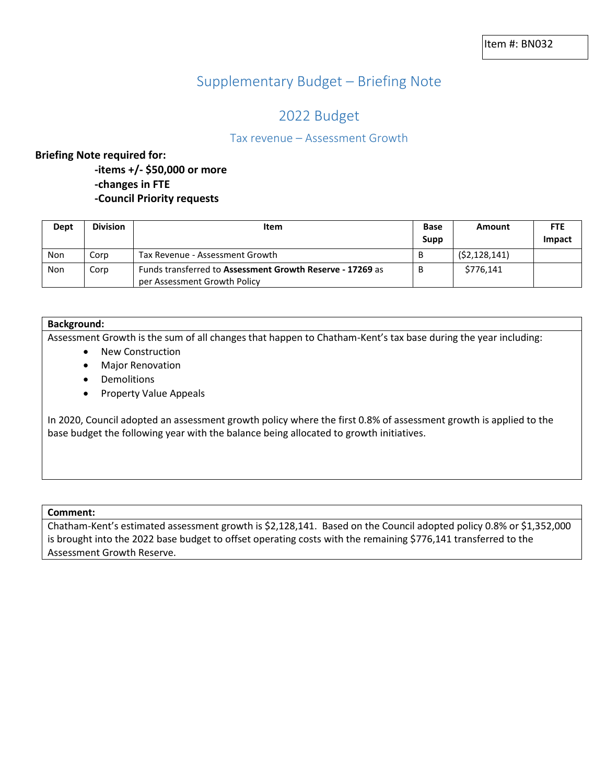# Supplementary Budget – Briefing Note

# 2022 Budget

## Tax revenue – Assessment Growth

## **Briefing Note required for:**

**-items +/- \$50,000 or more**

**-changes in FTE**

**-Council Priority requests**

| Dept | <b>Division</b> | Item                                                                                      | <b>Base</b><br><b>Supp</b> | Amount         | <b>FTE</b><br>Impact |
|------|-----------------|-------------------------------------------------------------------------------------------|----------------------------|----------------|----------------------|
| Non  | Corp            | Tax Revenue - Assessment Growth                                                           |                            | (52, 128, 141) |                      |
| Non  | Corp            | Funds transferred to Assessment Growth Reserve - 17269 as<br>per Assessment Growth Policy |                            | \$776.141      |                      |

## **Background:**

Assessment Growth is the sum of all changes that happen to Chatham-Kent's tax base during the year including:

- New Construction
- Major Renovation
- Demolitions
- Property Value Appeals

In 2020, Council adopted an assessment growth policy where the first 0.8% of assessment growth is applied to the base budget the following year with the balance being allocated to growth initiatives.

#### **Comment:**

Chatham-Kent's estimated assessment growth is \$2,128,141. Based on the Council adopted policy 0.8% or \$1,352,000 is brought into the 2022 base budget to offset operating costs with the remaining \$776,141 transferred to the Assessment Growth Reserve.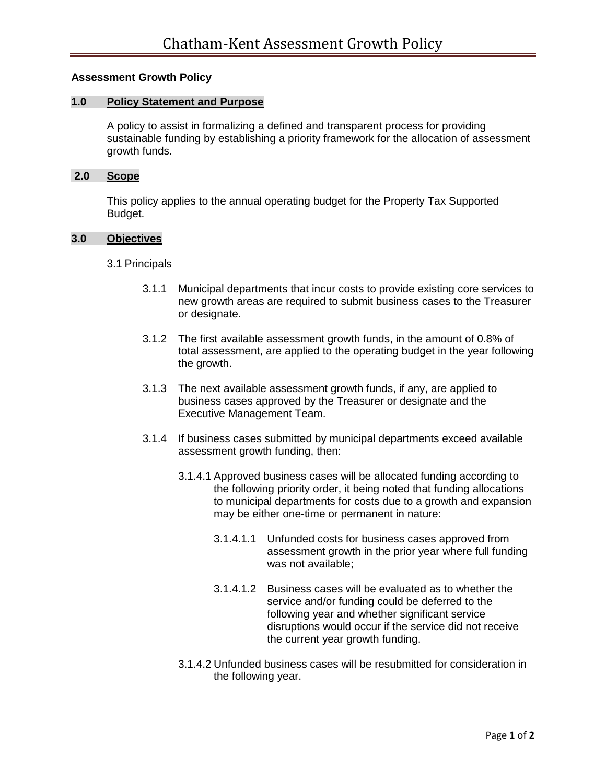## **Assessment Growth Policy**

## **1.0 Policy Statement and Purpose**

A policy to assist in formalizing a defined and transparent process for providing sustainable funding by establishing a priority framework for the allocation of assessment growth funds.

## **2.0 Scope**

This policy applies to the annual operating budget for the Property Tax Supported Budget.

## **3.0 Objectives**

## 3.1 Principals

- 3.1.1 Municipal departments that incur costs to provide existing core services to new growth areas are required to submit business cases to the Treasurer or designate.
- 3.1.2 The first available assessment growth funds, in the amount of 0.8% of total assessment, are applied to the operating budget in the year following the growth.
- 3.1.3 The next available assessment growth funds, if any, are applied to business cases approved by the Treasurer or designate and the Executive Management Team.
- 3.1.4 If business cases submitted by municipal departments exceed available assessment growth funding, then:
	- 3.1.4.1 Approved business cases will be allocated funding according to the following priority order, it being noted that funding allocations to municipal departments for costs due to a growth and expansion may be either one-time or permanent in nature:
		- 3.1.4.1.1 Unfunded costs for business cases approved from assessment growth in the prior year where full funding was not available;
		- 3.1.4.1.2 Business cases will be evaluated as to whether the service and/or funding could be deferred to the following year and whether significant service disruptions would occur if the service did not receive the current year growth funding.
	- 3.1.4.2 Unfunded business cases will be resubmitted for consideration in the following year.